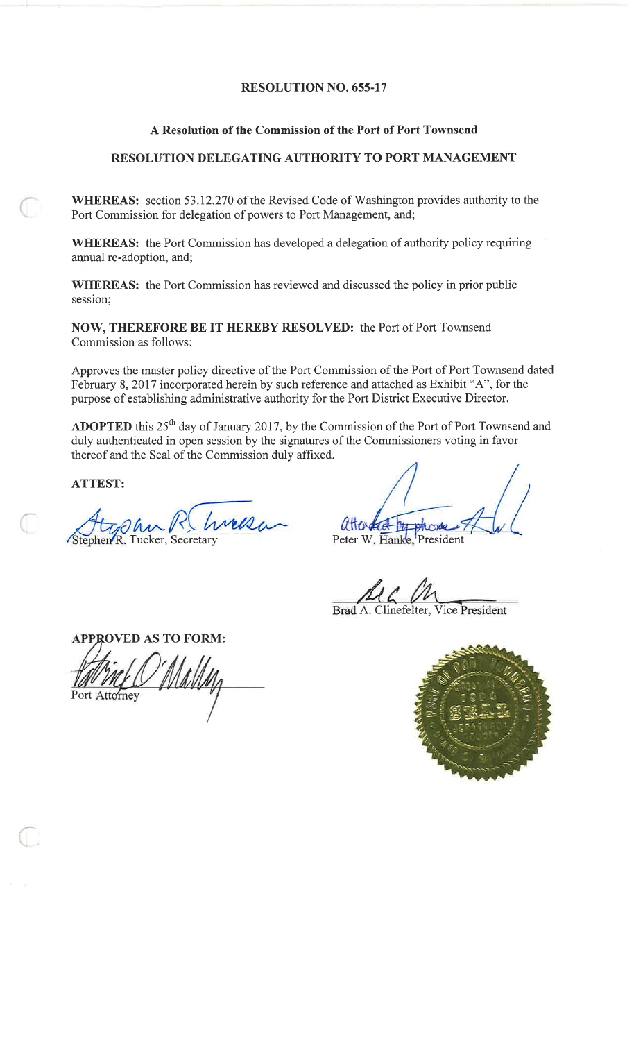# **RESOLUTION NO. 655-17**

# A Resolution of the Commission of the Port of Port Townsend

# RESOLUTION DELEGATING AUTHORITY TO PORT MANAGEMENT

WHEREAS: section 53.12.270 of the Revised Code of Washington provides authority to the Port Commission for delegation of powers to Port Management, and;

WHEREAS: the Port Commission has developed a delegation of authority policy requiring annual re-adoption, and;

WHEREAS: the Port Commission has reviewed and discussed the policy in prior public session;

NOW, THEREFORE BE IT HEREBY RESOLVED: the Port of Port Townsend Commission as follows:

Approves the master policy directive of the Port Commission of the Port of Port Townsend dated February 8, 2017 incorporated herein by such reference and attached as Exhibit "A", for the purpose of establishing administrative authority for the Port District Executive Director.

ADOPTED this 25<sup>th</sup> day of January 2017, by the Commission of the Port of Port Townsend and duly authenticated in open session by the signatures of the Commissioners voting in favor thereof and the Seal of the Commission duly affixed.

**ATTEST:** 

hen R. Tucker, Secretary

attended by phone

Peter W. Hanke, President

Brad A. Clinefelter, Vice President

**APPROVED AS TO FORM:** Port Attorney

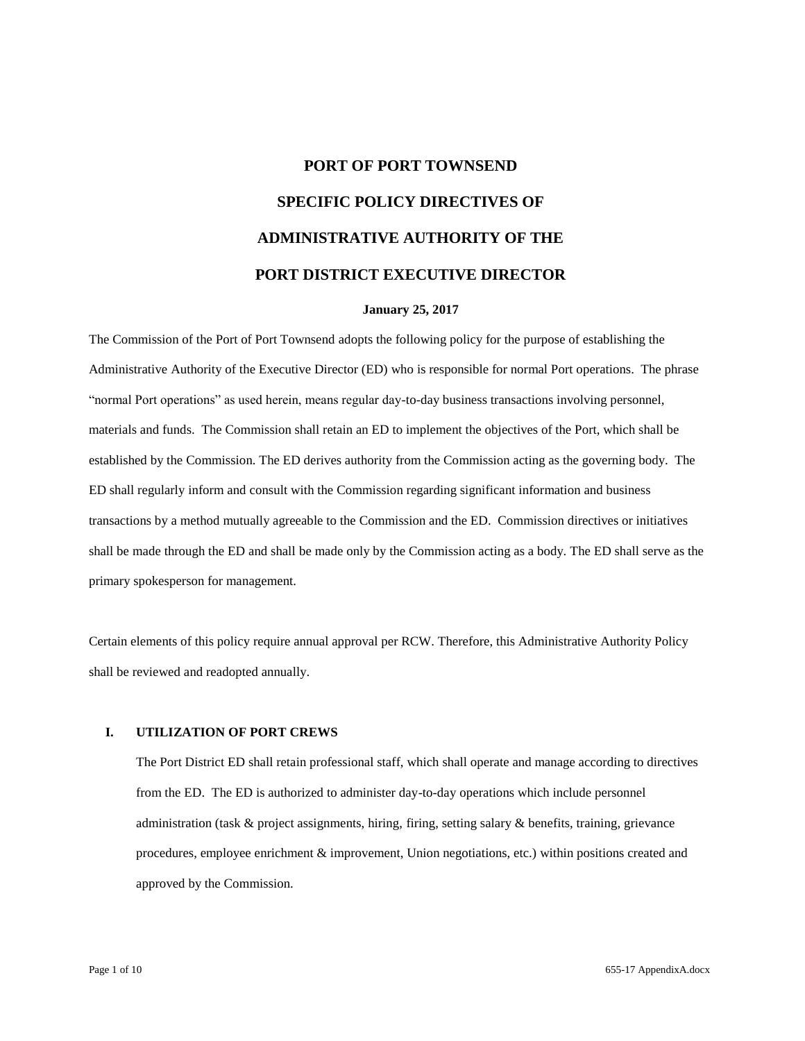# **PORT OF PORT TOWNSEND SPECIFIC POLICY DIRECTIVES OF ADMINISTRATIVE AUTHORITY OF THE PORT DISTRICT EXECUTIVE DIRECTOR**

#### **January 25, 2017**

The Commission of the Port of Port Townsend adopts the following policy for the purpose of establishing the Administrative Authority of the Executive Director (ED) who is responsible for normal Port operations. The phrase "normal Port operations" as used herein, means regular day-to-day business transactions involving personnel, materials and funds. The Commission shall retain an ED to implement the objectives of the Port, which shall be established by the Commission. The ED derives authority from the Commission acting as the governing body. The ED shall regularly inform and consult with the Commission regarding significant information and business transactions by a method mutually agreeable to the Commission and the ED. Commission directives or initiatives shall be made through the ED and shall be made only by the Commission acting as a body. The ED shall serve as the primary spokesperson for management.

Certain elements of this policy require annual approval per RCW. Therefore, this Administrative Authority Policy shall be reviewed and readopted annually.

#### **I. UTILIZATION OF PORT CREWS**

The Port District ED shall retain professional staff, which shall operate and manage according to directives from the ED. The ED is authorized to administer day-to-day operations which include personnel administration (task & project assignments, hiring, firing, setting salary & benefits, training, grievance procedures, employee enrichment & improvement, Union negotiations, etc.) within positions created and approved by the Commission.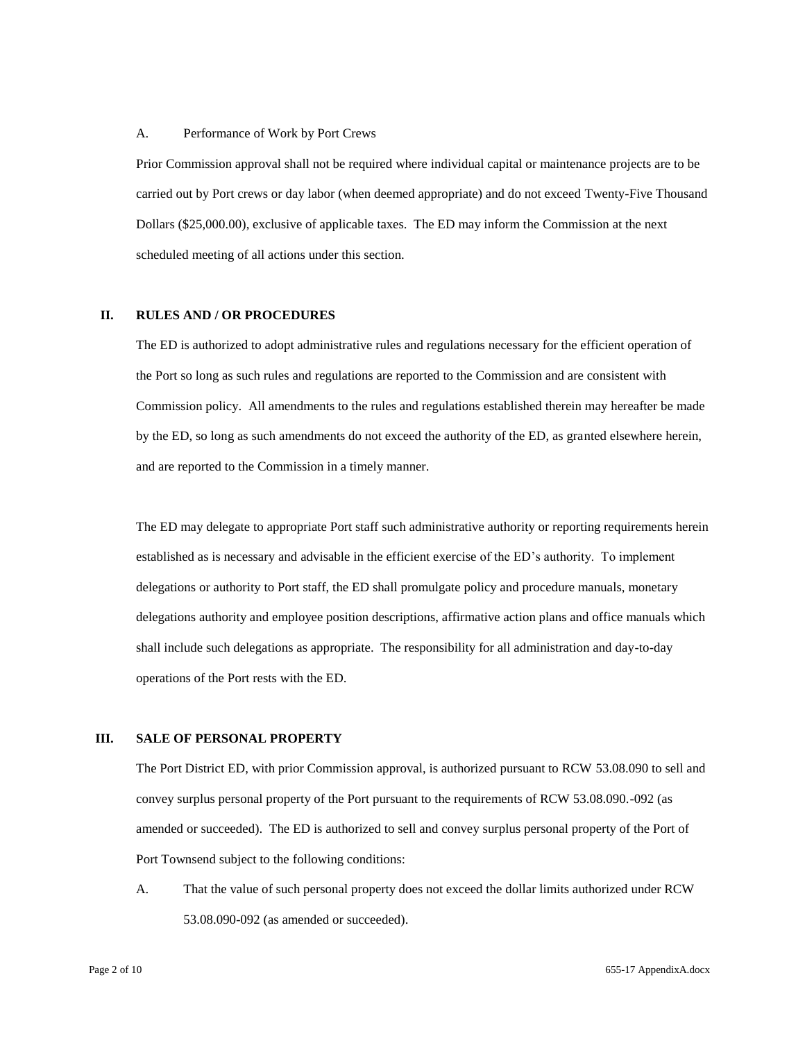#### A. Performance of Work by Port Crews

Prior Commission approval shall not be required where individual capital or maintenance projects are to be carried out by Port crews or day labor (when deemed appropriate) and do not exceed Twenty-Five Thousand Dollars (\$25,000.00), exclusive of applicable taxes. The ED may inform the Commission at the next scheduled meeting of all actions under this section.

#### **II. RULES AND / OR PROCEDURES**

The ED is authorized to adopt administrative rules and regulations necessary for the efficient operation of the Port so long as such rules and regulations are reported to the Commission and are consistent with Commission policy. All amendments to the rules and regulations established therein may hereafter be made by the ED, so long as such amendments do not exceed the authority of the ED, as granted elsewhere herein, and are reported to the Commission in a timely manner.

The ED may delegate to appropriate Port staff such administrative authority or reporting requirements herein established as is necessary and advisable in the efficient exercise of the ED's authority. To implement delegations or authority to Port staff, the ED shall promulgate policy and procedure manuals, monetary delegations authority and employee position descriptions, affirmative action plans and office manuals which shall include such delegations as appropriate. The responsibility for all administration and day-to-day operations of the Port rests with the ED.

#### **III. SALE OF PERSONAL PROPERTY**

The Port District ED, with prior Commission approval, is authorized pursuant to RCW 53.08.090 to sell and convey surplus personal property of the Port pursuant to the requirements of RCW 53.08.090.-092 (as amended or succeeded). The ED is authorized to sell and convey surplus personal property of the Port of Port Townsend subject to the following conditions:

A. That the value of such personal property does not exceed the dollar limits authorized under RCW 53.08.090-092 (as amended or succeeded).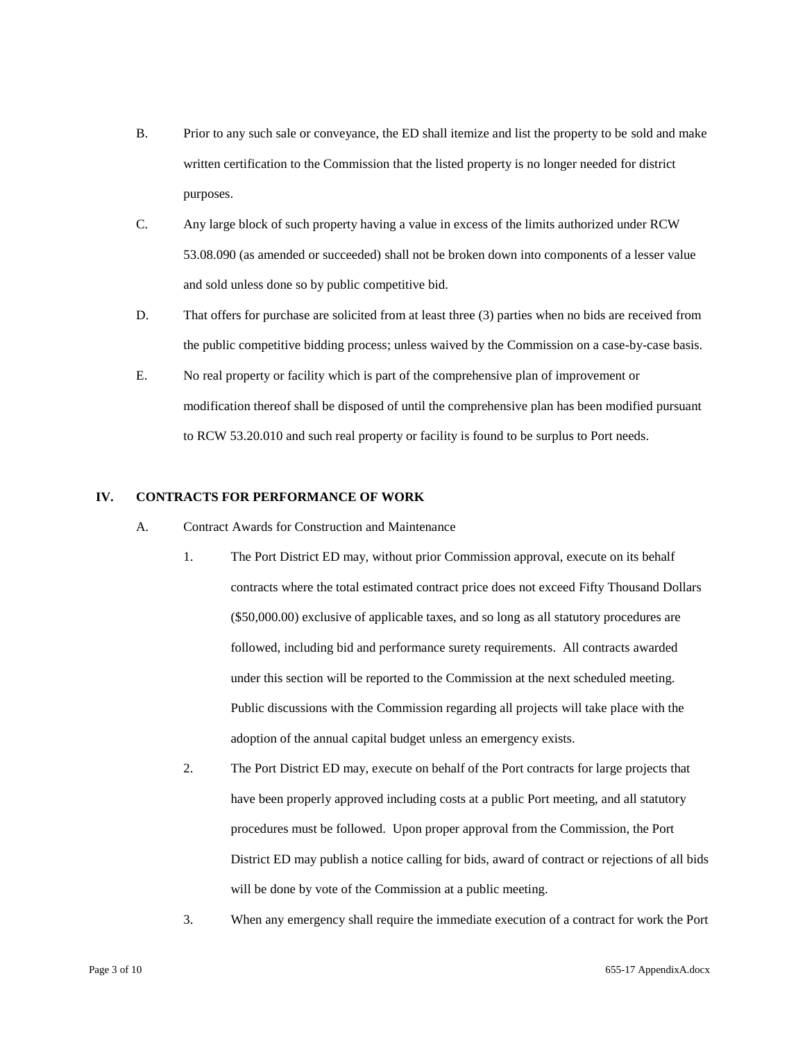- B. Prior to any such sale or conveyance, the ED shall itemize and list the property to be sold and make written certification to the Commission that the listed property is no longer needed for district purposes.
- C. Any large block of such property having a value in excess of the limits authorized under RCW 53.08.090 (as amended or succeeded) shall not be broken down into components of a lesser value and sold unless done so by public competitive bid.
- D. That offers for purchase are solicited from at least three (3) parties when no bids are received from the public competitive bidding process; unless waived by the Commission on a case-by-case basis.
- E. No real property or facility which is part of the comprehensive plan of improvement or modification thereof shall be disposed of until the comprehensive plan has been modified pursuant to RCW 53.20.010 and such real property or facility is found to be surplus to Port needs.

# **IV. CONTRACTS FOR PERFORMANCE OF WORK**

- A. Contract Awards for Construction and Maintenance
	- 1. The Port District ED may, without prior Commission approval, execute on its behalf contracts where the total estimated contract price does not exceed Fifty Thousand Dollars (\$50,000.00) exclusive of applicable taxes, and so long as all statutory procedures are followed, including bid and performance surety requirements. All contracts awarded under this section will be reported to the Commission at the next scheduled meeting. Public discussions with the Commission regarding all projects will take place with the adoption of the annual capital budget unless an emergency exists.
	- 2. The Port District ED may, execute on behalf of the Port contracts for large projects that have been properly approved including costs at a public Port meeting, and all statutory procedures must be followed. Upon proper approval from the Commission, the Port District ED may publish a notice calling for bids, award of contract or rejections of all bids will be done by vote of the Commission at a public meeting.
	- 3. When any emergency shall require the immediate execution of a contract for work the Port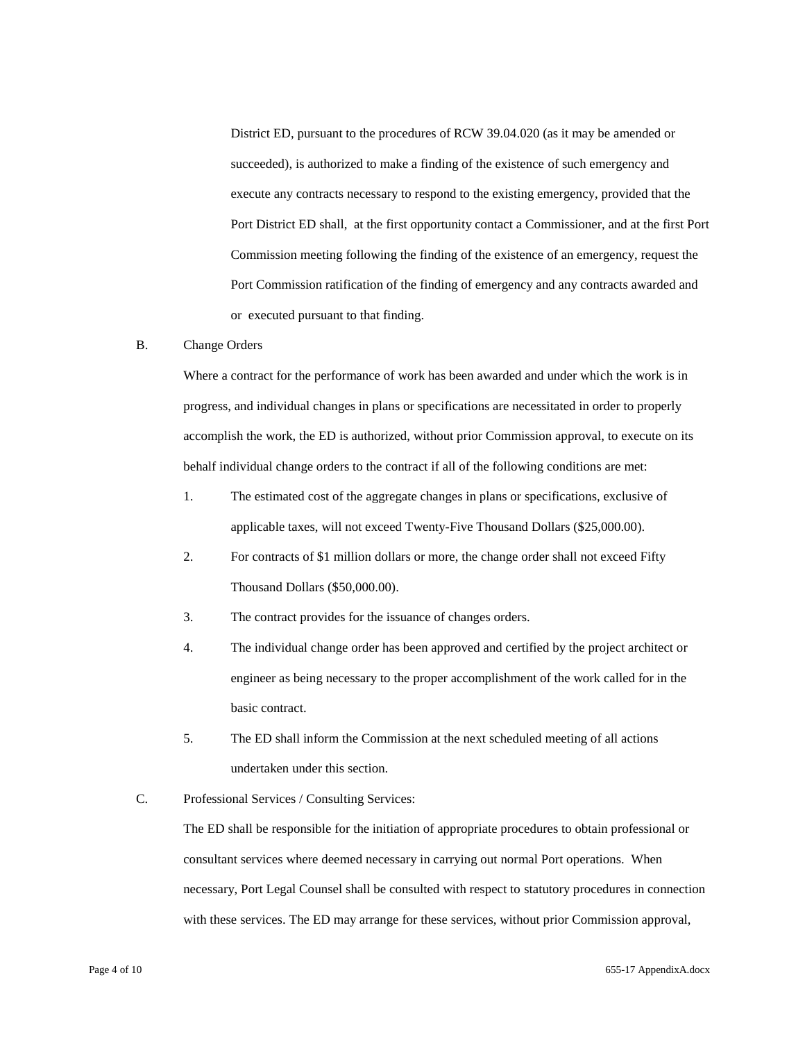District ED, pursuant to the procedures of RCW 39.04.020 (as it may be amended or succeeded), is authorized to make a finding of the existence of such emergency and execute any contracts necessary to respond to the existing emergency, provided that the Port District ED shall, at the first opportunity contact a Commissioner, and at the first Port Commission meeting following the finding of the existence of an emergency, request the Port Commission ratification of the finding of emergency and any contracts awarded and or executed pursuant to that finding.

# B. Change Orders

Where a contract for the performance of work has been awarded and under which the work is in progress, and individual changes in plans or specifications are necessitated in order to properly accomplish the work, the ED is authorized, without prior Commission approval, to execute on its behalf individual change orders to the contract if all of the following conditions are met:

- 1. The estimated cost of the aggregate changes in plans or specifications, exclusive of applicable taxes, will not exceed Twenty-Five Thousand Dollars (\$25,000.00).
- 2. For contracts of \$1 million dollars or more, the change order shall not exceed Fifty Thousand Dollars (\$50,000.00).
- 3. The contract provides for the issuance of changes orders.
- 4. The individual change order has been approved and certified by the project architect or engineer as being necessary to the proper accomplishment of the work called for in the basic contract.
- 5. The ED shall inform the Commission at the next scheduled meeting of all actions undertaken under this section.
- C. Professional Services / Consulting Services:

The ED shall be responsible for the initiation of appropriate procedures to obtain professional or consultant services where deemed necessary in carrying out normal Port operations. When necessary, Port Legal Counsel shall be consulted with respect to statutory procedures in connection with these services. The ED may arrange for these services, without prior Commission approval,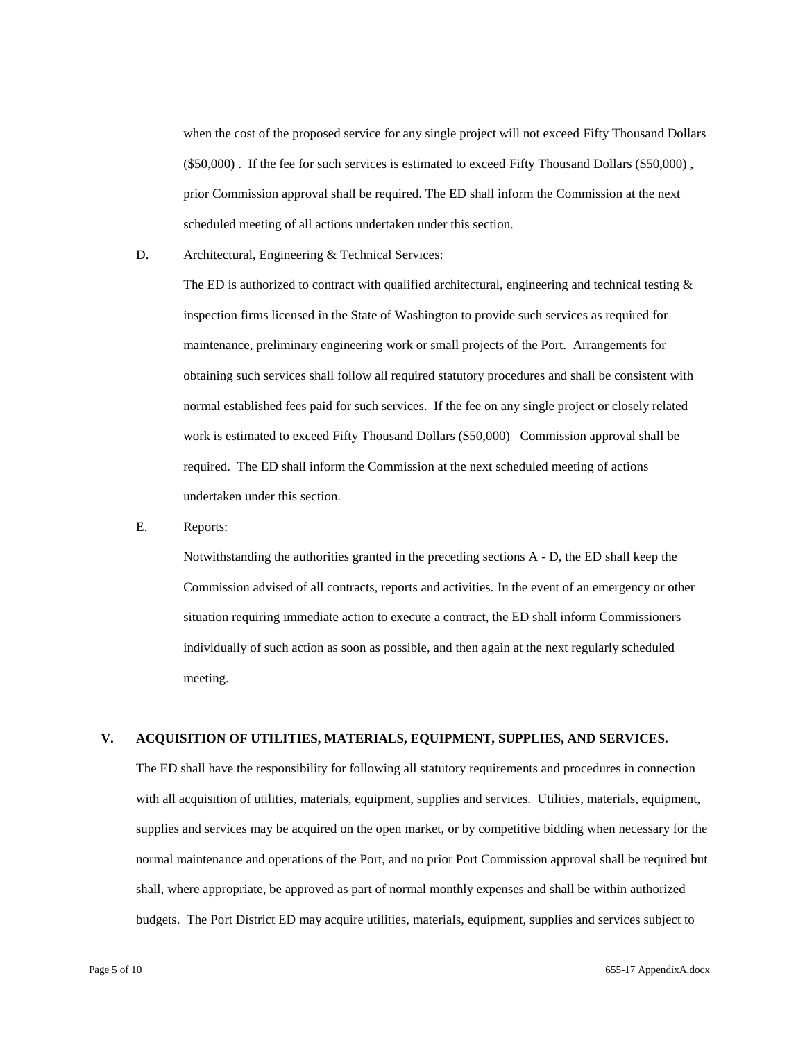when the cost of the proposed service for any single project will not exceed Fifty Thousand Dollars (\$50,000) . If the fee for such services is estimated to exceed Fifty Thousand Dollars (\$50,000) , prior Commission approval shall be required. The ED shall inform the Commission at the next scheduled meeting of all actions undertaken under this section.

D. Architectural, Engineering & Technical Services:

The ED is authorized to contract with qualified architectural, engineering and technical testing  $\&$ inspection firms licensed in the State of Washington to provide such services as required for maintenance, preliminary engineering work or small projects of the Port. Arrangements for obtaining such services shall follow all required statutory procedures and shall be consistent with normal established fees paid for such services. If the fee on any single project or closely related work is estimated to exceed Fifty Thousand Dollars (\$50,000) Commission approval shall be required. The ED shall inform the Commission at the next scheduled meeting of actions undertaken under this section.

E. Reports:

Notwithstanding the authorities granted in the preceding sections A - D, the ED shall keep the Commission advised of all contracts, reports and activities. In the event of an emergency or other situation requiring immediate action to execute a contract, the ED shall inform Commissioners individually of such action as soon as possible, and then again at the next regularly scheduled meeting.

#### **V. ACQUISITION OF UTILITIES, MATERIALS, EQUIPMENT, SUPPLIES, AND SERVICES.**

The ED shall have the responsibility for following all statutory requirements and procedures in connection with all acquisition of utilities, materials, equipment, supplies and services. Utilities, materials, equipment, supplies and services may be acquired on the open market, or by competitive bidding when necessary for the normal maintenance and operations of the Port, and no prior Port Commission approval shall be required but shall, where appropriate, be approved as part of normal monthly expenses and shall be within authorized budgets. The Port District ED may acquire utilities, materials, equipment, supplies and services subject to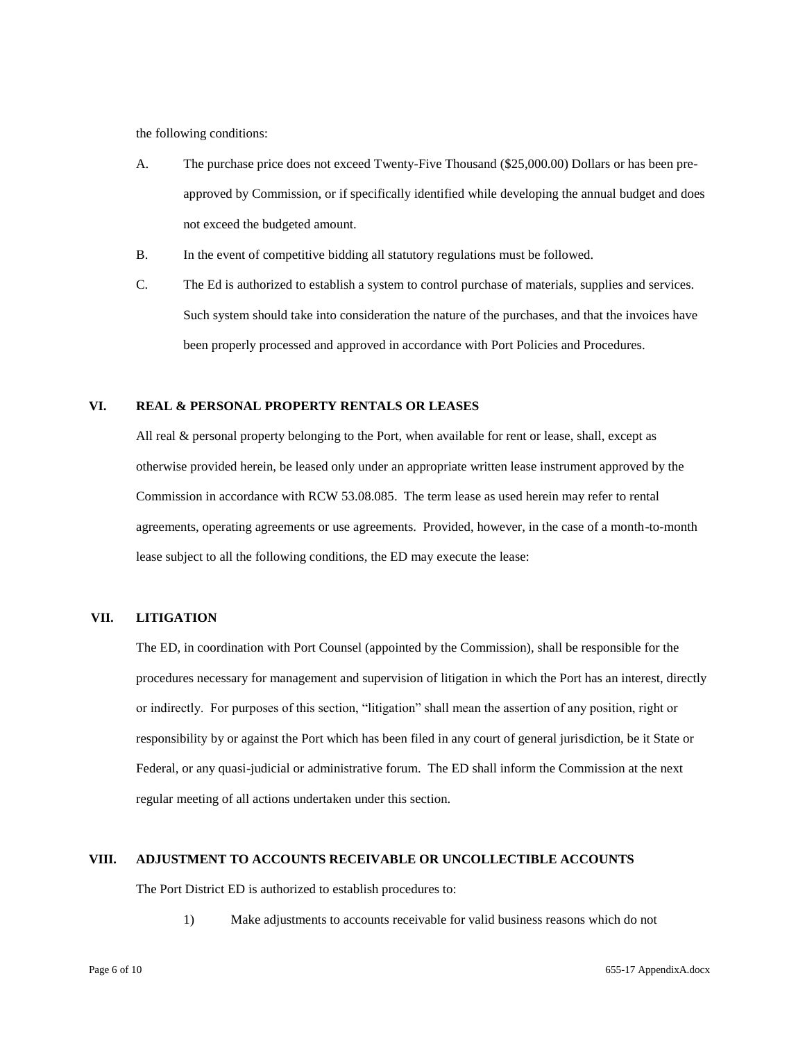the following conditions:

- A. The purchase price does not exceed Twenty-Five Thousand (\$25,000.00) Dollars or has been preapproved by Commission, or if specifically identified while developing the annual budget and does not exceed the budgeted amount.
- B. In the event of competitive bidding all statutory regulations must be followed.
- C. The Ed is authorized to establish a system to control purchase of materials, supplies and services. Such system should take into consideration the nature of the purchases, and that the invoices have been properly processed and approved in accordance with Port Policies and Procedures.

#### **VI. REAL & PERSONAL PROPERTY RENTALS OR LEASES**

All real & personal property belonging to the Port, when available for rent or lease, shall, except as otherwise provided herein, be leased only under an appropriate written lease instrument approved by the Commission in accordance with RCW 53.08.085. The term lease as used herein may refer to rental agreements, operating agreements or use agreements. Provided, however, in the case of a month-to-month lease subject to all the following conditions, the ED may execute the lease:

## **VII. LITIGATION**

The ED, in coordination with Port Counsel (appointed by the Commission), shall be responsible for the procedures necessary for management and supervision of litigation in which the Port has an interest, directly or indirectly. For purposes of this section, "litigation" shall mean the assertion of any position, right or responsibility by or against the Port which has been filed in any court of general jurisdiction, be it State or Federal, or any quasi-judicial or administrative forum. The ED shall inform the Commission at the next regular meeting of all actions undertaken under this section.

#### **VIII. ADJUSTMENT TO ACCOUNTS RECEIVABLE OR UNCOLLECTIBLE ACCOUNTS**

The Port District ED is authorized to establish procedures to:

1) Make adjustments to accounts receivable for valid business reasons which do not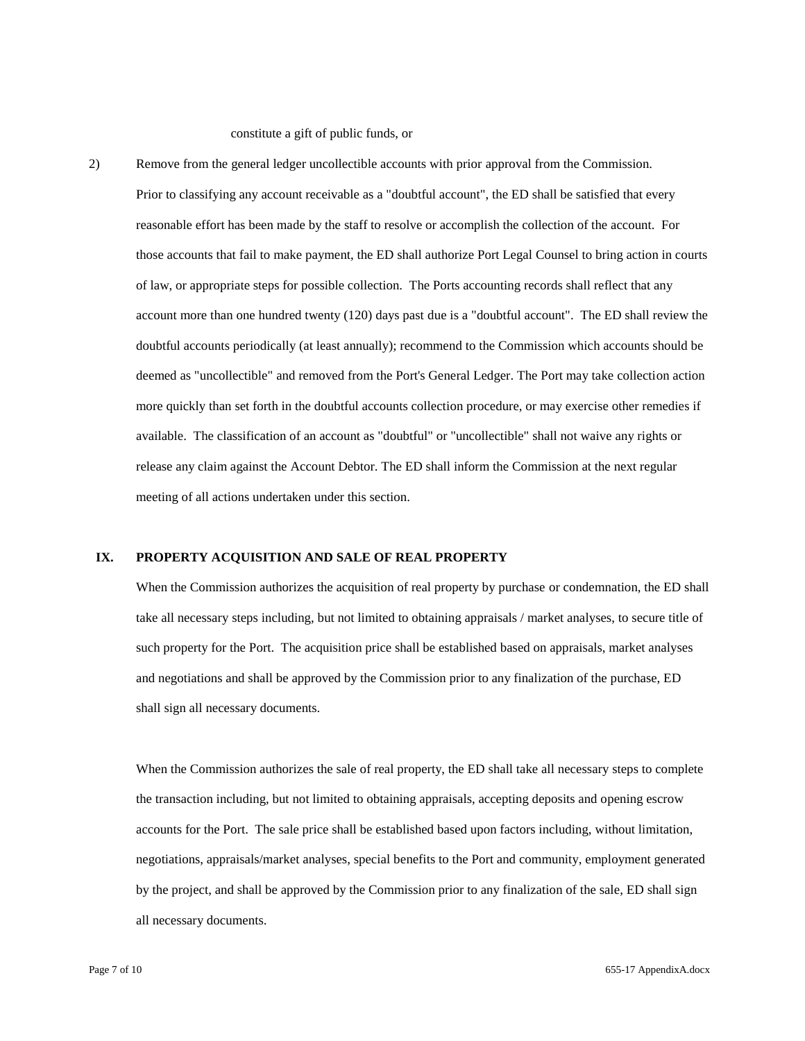constitute a gift of public funds, or

2) Remove from the general ledger uncollectible accounts with prior approval from the Commission. Prior to classifying any account receivable as a "doubtful account", the ED shall be satisfied that every reasonable effort has been made by the staff to resolve or accomplish the collection of the account. For those accounts that fail to make payment, the ED shall authorize Port Legal Counsel to bring action in courts of law, or appropriate steps for possible collection. The Ports accounting records shall reflect that any account more than one hundred twenty (120) days past due is a "doubtful account". The ED shall review the doubtful accounts periodically (at least annually); recommend to the Commission which accounts should be deemed as "uncollectible" and removed from the Port's General Ledger. The Port may take collection action more quickly than set forth in the doubtful accounts collection procedure, or may exercise other remedies if available. The classification of an account as "doubtful" or "uncollectible" shall not waive any rights or release any claim against the Account Debtor. The ED shall inform the Commission at the next regular meeting of all actions undertaken under this section.

# **IX. PROPERTY ACQUISITION AND SALE OF REAL PROPERTY**

When the Commission authorizes the acquisition of real property by purchase or condemnation, the ED shall take all necessary steps including, but not limited to obtaining appraisals / market analyses, to secure title of such property for the Port. The acquisition price shall be established based on appraisals, market analyses and negotiations and shall be approved by the Commission prior to any finalization of the purchase, ED shall sign all necessary documents.

When the Commission authorizes the sale of real property, the ED shall take all necessary steps to complete the transaction including, but not limited to obtaining appraisals, accepting deposits and opening escrow accounts for the Port. The sale price shall be established based upon factors including, without limitation, negotiations, appraisals/market analyses, special benefits to the Port and community, employment generated by the project, and shall be approved by the Commission prior to any finalization of the sale, ED shall sign all necessary documents.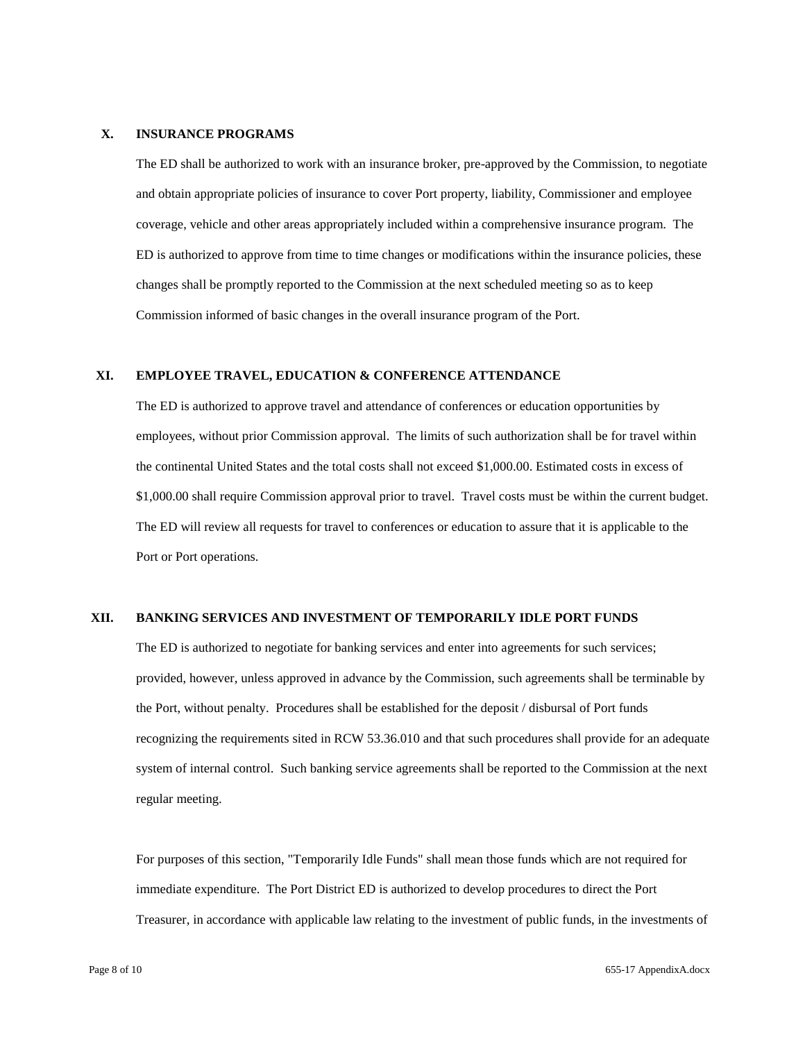#### **X. INSURANCE PROGRAMS**

The ED shall be authorized to work with an insurance broker, pre-approved by the Commission, to negotiate and obtain appropriate policies of insurance to cover Port property, liability, Commissioner and employee coverage, vehicle and other areas appropriately included within a comprehensive insurance program. The ED is authorized to approve from time to time changes or modifications within the insurance policies, these changes shall be promptly reported to the Commission at the next scheduled meeting so as to keep Commission informed of basic changes in the overall insurance program of the Port.

# **XI. EMPLOYEE TRAVEL, EDUCATION & CONFERENCE ATTENDANCE**

The ED is authorized to approve travel and attendance of conferences or education opportunities by employees, without prior Commission approval. The limits of such authorization shall be for travel within the continental United States and the total costs shall not exceed \$1,000.00. Estimated costs in excess of \$1,000.00 shall require Commission approval prior to travel. Travel costs must be within the current budget. The ED will review all requests for travel to conferences or education to assure that it is applicable to the Port or Port operations.

#### **XII. BANKING SERVICES AND INVESTMENT OF TEMPORARILY IDLE PORT FUNDS**

The ED is authorized to negotiate for banking services and enter into agreements for such services; provided, however, unless approved in advance by the Commission, such agreements shall be terminable by the Port, without penalty. Procedures shall be established for the deposit / disbursal of Port funds recognizing the requirements sited in RCW 53.36.010 and that such procedures shall provide for an adequate system of internal control. Such banking service agreements shall be reported to the Commission at the next regular meeting.

For purposes of this section, "Temporarily Idle Funds" shall mean those funds which are not required for immediate expenditure. The Port District ED is authorized to develop procedures to direct the Port Treasurer, in accordance with applicable law relating to the investment of public funds, in the investments of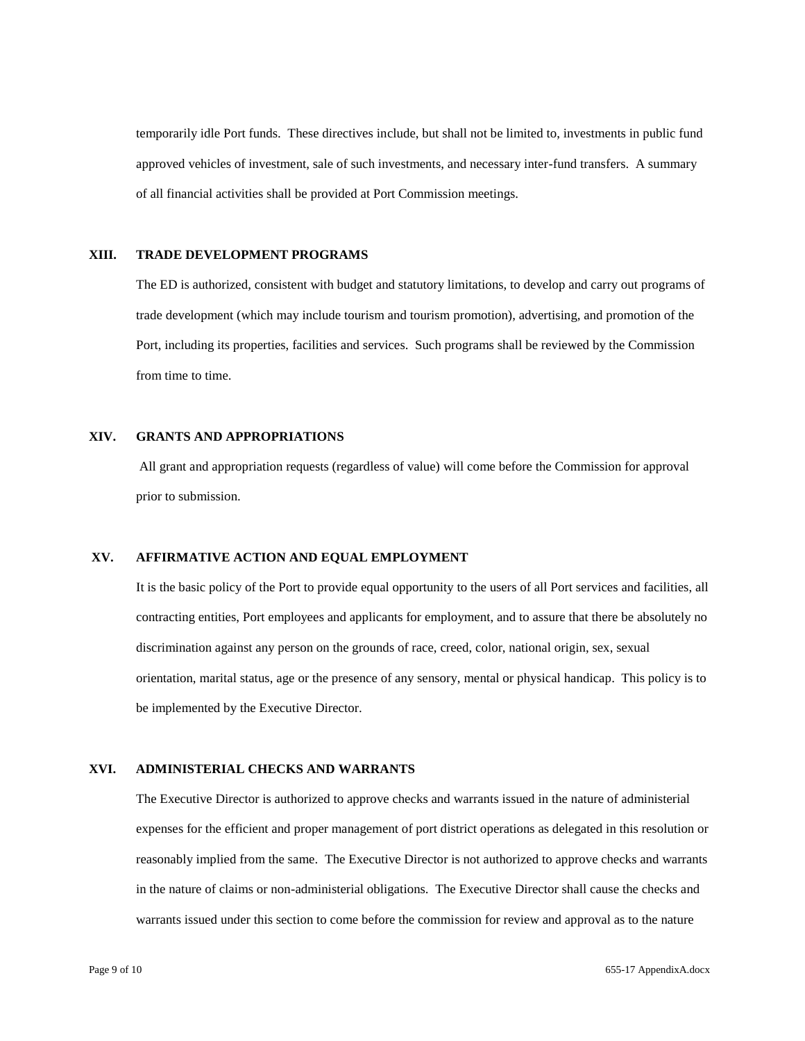temporarily idle Port funds. These directives include, but shall not be limited to, investments in public fund approved vehicles of investment, sale of such investments, and necessary inter-fund transfers. A summary of all financial activities shall be provided at Port Commission meetings.

# **XIII. TRADE DEVELOPMENT PROGRAMS**

The ED is authorized, consistent with budget and statutory limitations, to develop and carry out programs of trade development (which may include tourism and tourism promotion), advertising, and promotion of the Port, including its properties, facilities and services. Such programs shall be reviewed by the Commission from time to time.

# **XIV. GRANTS AND APPROPRIATIONS**

All grant and appropriation requests (regardless of value) will come before the Commission for approval prior to submission.

# **XV. AFFIRMATIVE ACTION AND EQUAL EMPLOYMENT**

It is the basic policy of the Port to provide equal opportunity to the users of all Port services and facilities, all contracting entities, Port employees and applicants for employment, and to assure that there be absolutely no discrimination against any person on the grounds of race, creed, color, national origin, sex, sexual orientation, marital status, age or the presence of any sensory, mental or physical handicap. This policy is to be implemented by the Executive Director.

# **XVI. ADMINISTERIAL CHECKS AND WARRANTS**

The Executive Director is authorized to approve checks and warrants issued in the nature of administerial expenses for the efficient and proper management of port district operations as delegated in this resolution or reasonably implied from the same. The Executive Director is not authorized to approve checks and warrants in the nature of claims or non-administerial obligations. The Executive Director shall cause the checks and warrants issued under this section to come before the commission for review and approval as to the nature